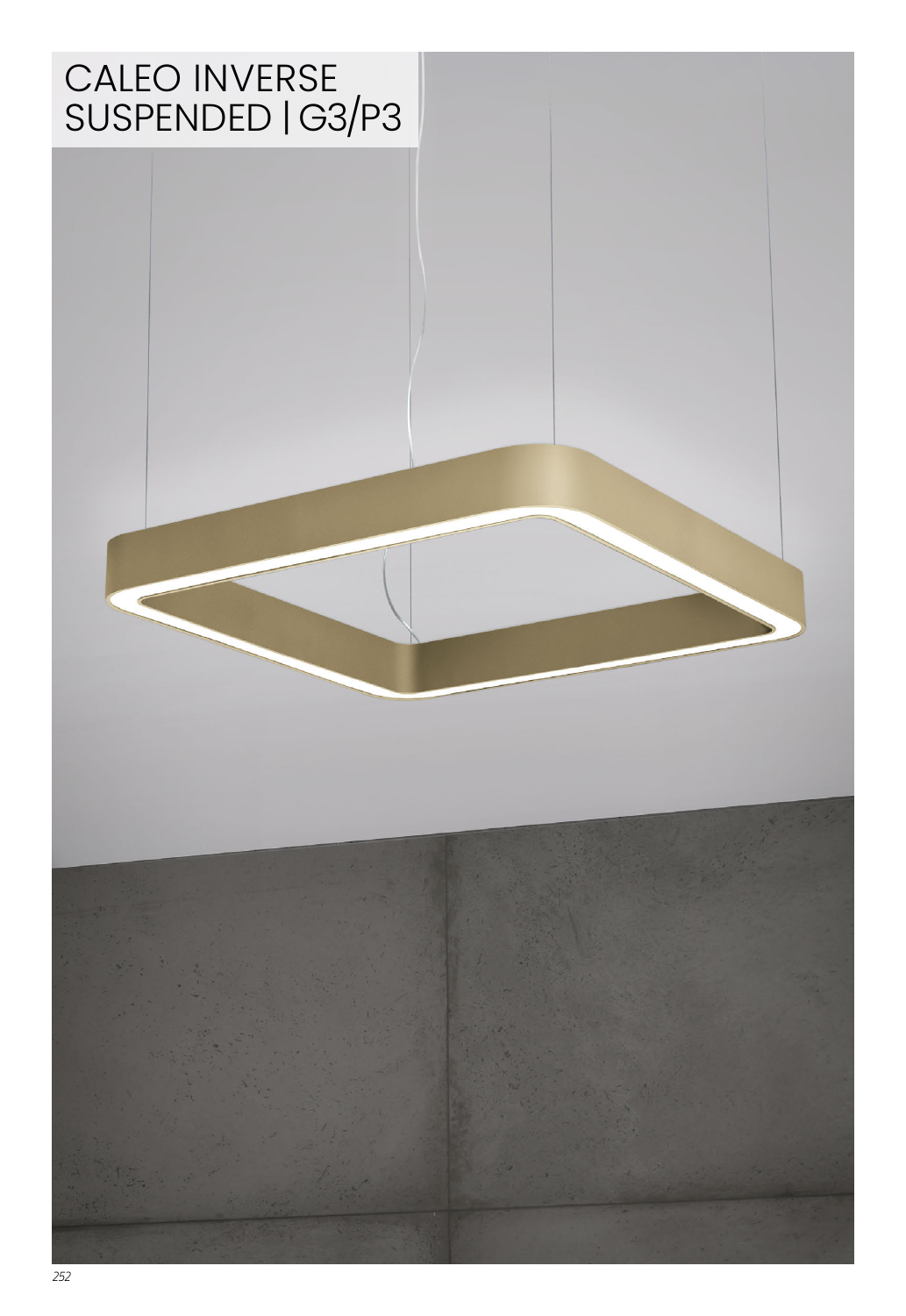